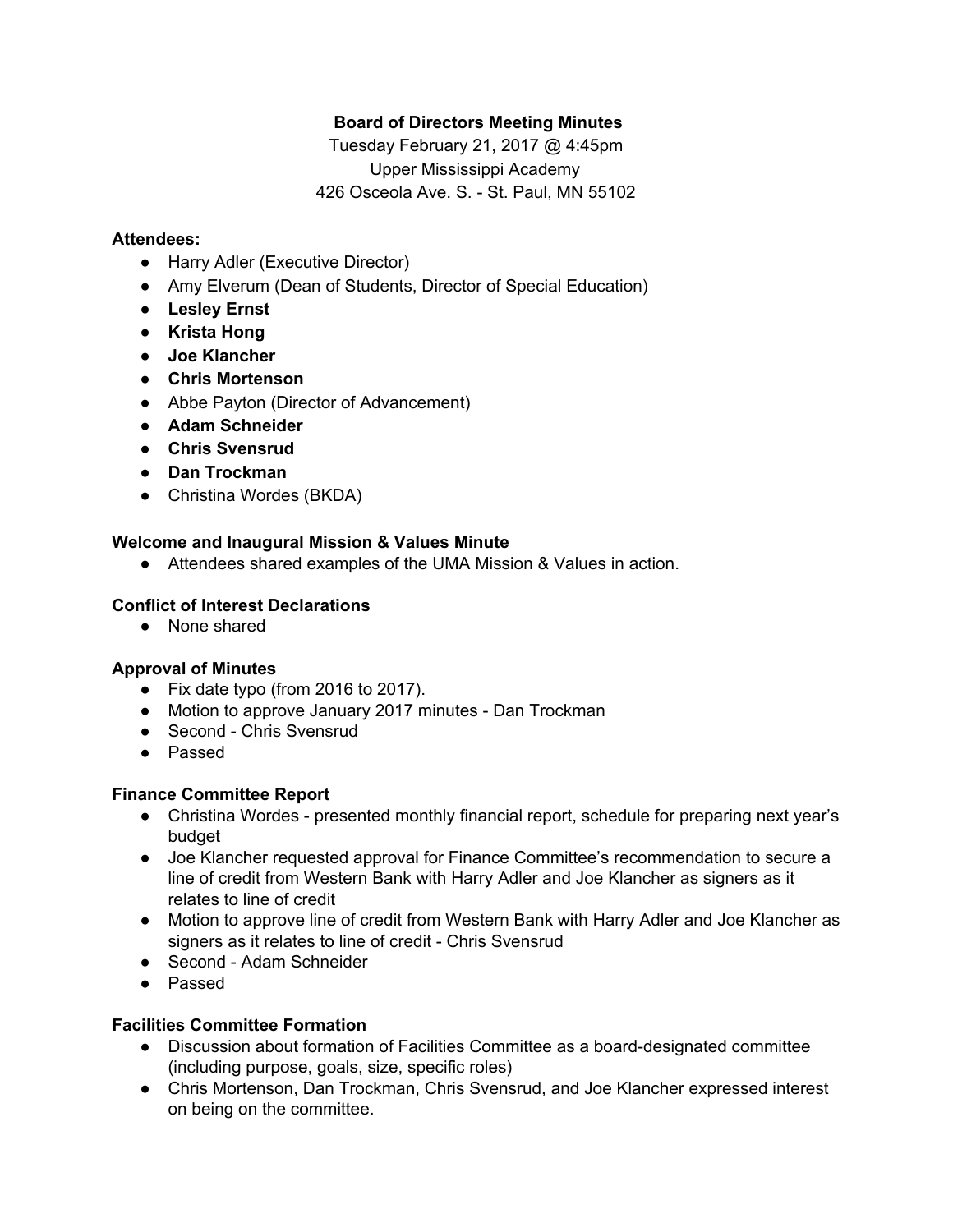# **Board of Directors Meeting Minutes**

Tuesday February 21, 2017 @ 4:45pm Upper Mississippi Academy 426 Osceola Ave. S. - St. Paul, MN 55102

# **Attendees:**

- Harry Adler (Executive Director)
- Amy Elverum (Dean of Students, Director of Special Education)
- **● Lesley Ernst**
- **● Krista Hong**
- **● Joe Klancher**
- **● Chris Mortenson**
- Abbe Payton (Director of Advancement)
- **● Adam Schneider**
- **● Chris Svensrud**
- **● Dan Trockman**
- Christina Wordes (BKDA)

# **Welcome and Inaugural Mission & Values Minute**

● Attendees shared examples of the UMA Mission & Values in action.

# **Conflict of Interest Declarations**

● None shared

## **Approval of Minutes**

- Fix date typo (from 2016 to 2017).
- Motion to approve January 2017 minutes Dan Trockman
- Second Chris Svensrud
- Passed

## **Finance Committee Report**

- Christina Wordes presented monthly financial report, schedule for preparing next year's budget
- Joe Klancher requested approval for Finance Committee's recommendation to secure a line of credit from Western Bank with Harry Adler and Joe Klancher as signers as it relates to line of credit
- Motion to approve line of credit from Western Bank with Harry Adler and Joe Klancher as signers as it relates to line of credit - Chris Svensrud
- Second Adam Schneider
- Passed

# **Facilities Committee Formation**

- Discussion about formation of Facilities Committee as a board-designated committee (including purpose, goals, size, specific roles)
- Chris Mortenson, Dan Trockman, Chris Svensrud, and Joe Klancher expressed interest on being on the committee.